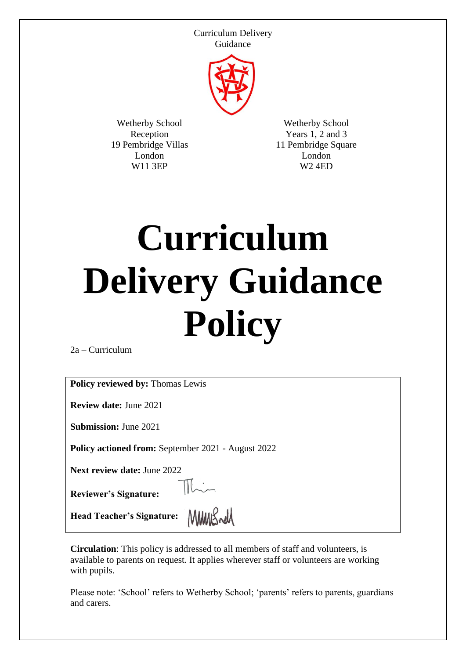

Wetherby School Reception 19 Pembridge Villas London W11 3EP

Wetherby School Years 1, 2 and 3 11 Pembridge Square London W2 4ED

# **Curriculum Delivery Guidance Policy**

2a – Curriculum

**Policy reviewed by:** Thomas Lewis

**Review date:** June 2021

**Submission:** June 2021

**Policy actioned from:** September 2021 - August 2022

 $\mathbb{R}$ 

**Next review date:** June 2022

**Reviewer's Signature:** 

Head Teacher's Signature: MMMS

**Circulation**: This policy is addressed to all members of staff and volunteers, is available to parents on request. It applies wherever staff or volunteers are working with pupils.

Please note: 'School' refers to Wetherby School; 'parents' refers to parents, guardians and carers.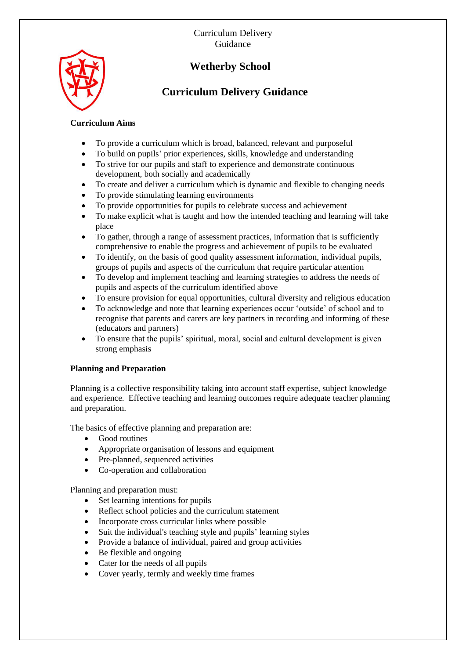

# **Wetherby School**

# **Curriculum Delivery Guidance**

## **Curriculum Aims**

- To provide a curriculum which is broad, balanced, relevant and purposeful
- To build on pupils' prior experiences, skills, knowledge and understanding
- To strive for our pupils and staff to experience and demonstrate continuous development, both socially and academically
- To create and deliver a curriculum which is dynamic and flexible to changing needs
- To provide stimulating learning environments
- To provide opportunities for pupils to celebrate success and achievement
- To make explicit what is taught and how the intended teaching and learning will take place
- To gather, through a range of assessment practices, information that is sufficiently comprehensive to enable the progress and achievement of pupils to be evaluated
- To identify, on the basis of good quality assessment information, individual pupils, groups of pupils and aspects of the curriculum that require particular attention
- To develop and implement teaching and learning strategies to address the needs of pupils and aspects of the curriculum identified above
- To ensure provision for equal opportunities, cultural diversity and religious education
- To acknowledge and note that learning experiences occur 'outside' of school and to recognise that parents and carers are key partners in recording and informing of these (educators and partners)
- To ensure that the pupils' spiritual, moral, social and cultural development is given strong emphasis

# **Planning and Preparation**

Planning is a collective responsibility taking into account staff expertise, subject knowledge and experience. Effective teaching and learning outcomes require adequate teacher planning and preparation.

The basics of effective planning and preparation are:

- Good routines
- Appropriate organisation of lessons and equipment
- Pre-planned, sequenced activities
- Co-operation and collaboration

Planning and preparation must:

- Set learning intentions for pupils
- Reflect school policies and the curriculum statement
- Incorporate cross curricular links where possible
- Suit the individual's teaching style and pupils' learning styles
- Provide a balance of individual, paired and group activities
- Be flexible and ongoing
- Cater for the needs of all pupils
- Cover yearly, termly and weekly time frames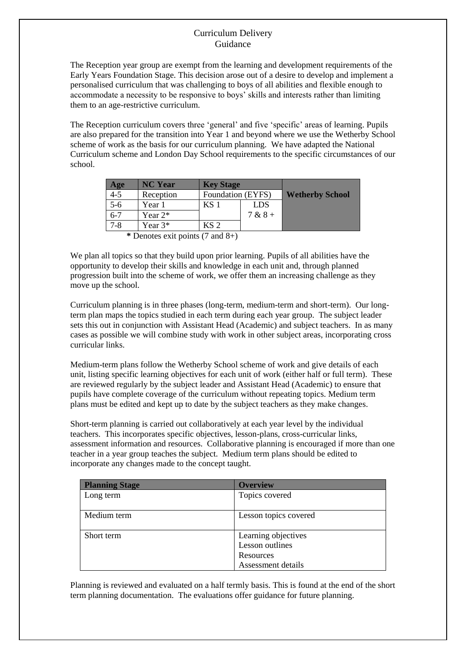The Reception year group are exempt from the learning and development requirements of the Early Years Foundation Stage. This decision arose out of a desire to develop and implement a personalised curriculum that was challenging to boys of all abilities and flexible enough to accommodate a necessity to be responsive to boys' skills and interests rather than limiting them to an age-restrictive curriculum.

The Reception curriculum covers three 'general' and five 'specific' areas of learning. Pupils are also prepared for the transition into Year 1 and beyond where we use the Wetherby School scheme of work as the basis for our curriculum planning. We have adapted the National Curriculum scheme and London Day School requirements to the specific circumstances of our school.

| <b>NC Year</b> | <b>Key Stage</b>  |            |                        |
|----------------|-------------------|------------|------------------------|
| Reception      | Foundation (EYFS) |            | <b>Wetherby School</b> |
| Year 1         | KS 1              | <b>LDS</b> |                        |
| Year $2^*$     |                   | $7 & 8 +$  |                        |
| Year $3*$      | KS <sub>2</sub>   |            |                        |
|                |                   |            |                        |

**\*** Denotes exit points (7 and 8+)

We plan all topics so that they build upon prior learning. Pupils of all abilities have the opportunity to develop their skills and knowledge in each unit and, through planned progression built into the scheme of work, we offer them an increasing challenge as they move up the school.

Curriculum planning is in three phases (long-term, medium-term and short-term). Our longterm plan maps the topics studied in each term during each year group. The subject leader sets this out in conjunction with Assistant Head (Academic) and subject teachers. In as many cases as possible we will combine study with work in other subject areas, incorporating cross curricular links.

Medium-term plans follow the Wetherby School scheme of work and give details of each unit, listing specific learning objectives for each unit of work (either half or full term). These are reviewed regularly by the subject leader and Assistant Head (Academic) to ensure that pupils have complete coverage of the curriculum without repeating topics. Medium term plans must be edited and kept up to date by the subject teachers as they make changes.

Short-term planning is carried out collaboratively at each year level by the individual teachers. This incorporates specific objectives, lesson-plans, cross-curricular links, assessment information and resources. Collaborative planning is encouraged if more than one teacher in a year group teaches the subject. Medium term plans should be edited to incorporate any changes made to the concept taught.

| <b>Planning Stage</b> | <b>Overview</b>       |  |
|-----------------------|-----------------------|--|
| Long term             | Topics covered        |  |
|                       |                       |  |
| Medium term           | Lesson topics covered |  |
|                       |                       |  |
| Short term            | Learning objectives   |  |
|                       | Lesson outlines       |  |
|                       | Resources             |  |
|                       | Assessment details    |  |

Planning is reviewed and evaluated on a half termly basis. This is found at the end of the short term planning documentation. The evaluations offer guidance for future planning.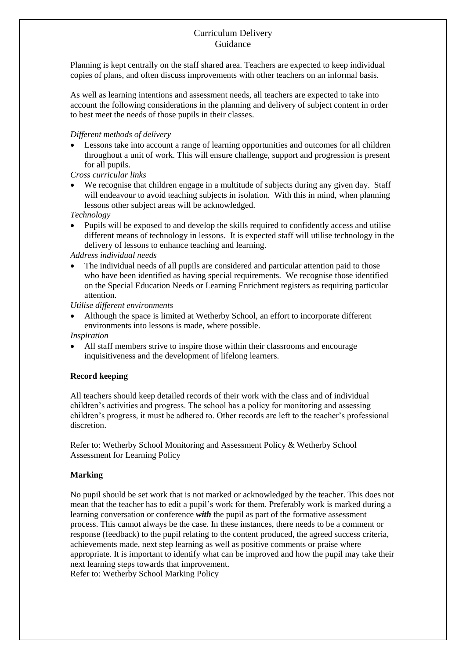Planning is kept centrally on the staff shared area. Teachers are expected to keep individual copies of plans, and often discuss improvements with other teachers on an informal basis.

As well as learning intentions and assessment needs, all teachers are expected to take into account the following considerations in the planning and delivery of subject content in order to best meet the needs of those pupils in their classes.

#### *Different methods of delivery*

 Lessons take into account a range of learning opportunities and outcomes for all children throughout a unit of work. This will ensure challenge, support and progression is present for all pupils.

*Cross curricular links*

We recognise that children engage in a multitude of subjects during any given day. Staff will endeavour to avoid teaching subjects in isolation. With this in mind, when planning lessons other subject areas will be acknowledged.

*Technology*

 Pupils will be exposed to and develop the skills required to confidently access and utilise different means of technology in lessons. It is expected staff will utilise technology in the delivery of lessons to enhance teaching and learning.

*Address individual needs*

 The individual needs of all pupils are considered and particular attention paid to those who have been identified as having special requirements. We recognise those identified on the Special Education Needs or Learning Enrichment registers as requiring particular attention.

*Utilise different environments* 

 Although the space is limited at Wetherby School, an effort to incorporate different environments into lessons is made, where possible.

*Inspiration* 

 All staff members strive to inspire those within their classrooms and encourage inquisitiveness and the development of lifelong learners.

#### **Record keeping**

All teachers should keep detailed records of their work with the class and of individual children's activities and progress. The school has a policy for monitoring and assessing children's progress, it must be adhered to. Other records are left to the teacher's professional discretion.

Refer to: Wetherby School Monitoring and Assessment Policy & Wetherby School Assessment for Learning Policy

#### **Marking**

No pupil should be set work that is not marked or acknowledged by the teacher. This does not mean that the teacher has to edit a pupil's work for them. Preferably work is marked during a learning conversation or conference *with* the pupil as part of the formative assessment process. This cannot always be the case. In these instances, there needs to be a comment or response (feedback) to the pupil relating to the content produced, the agreed success criteria, achievements made, next step learning as well as positive comments or praise where appropriate. It is important to identify what can be improved and how the pupil may take their next learning steps towards that improvement.

Refer to: Wetherby School Marking Policy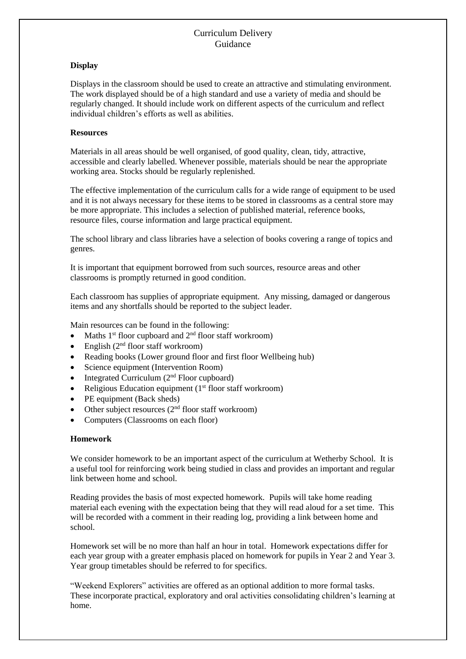#### **Display**

Displays in the classroom should be used to create an attractive and stimulating environment. The work displayed should be of a high standard and use a variety of media and should be regularly changed. It should include work on different aspects of the curriculum and reflect individual children's efforts as well as abilities.

#### **Resources**

Materials in all areas should be well organised, of good quality, clean, tidy, attractive, accessible and clearly labelled. Whenever possible, materials should be near the appropriate working area. Stocks should be regularly replenished.

The effective implementation of the curriculum calls for a wide range of equipment to be used and it is not always necessary for these items to be stored in classrooms as a central store may be more appropriate. This includes a selection of published material, reference books, resource files, course information and large practical equipment.

The school library and class libraries have a selection of books covering a range of topics and genres.

It is important that equipment borrowed from such sources, resource areas and other classrooms is promptly returned in good condition.

Each classroom has supplies of appropriate equipment. Any missing, damaged or dangerous items and any shortfalls should be reported to the subject leader.

Main resources can be found in the following:

- Maths 1<sup>st</sup> floor cupboard and 2<sup>nd</sup> floor staff workroom)
- English  $(2<sup>nd</sup>$  floor staff workroom)
- Reading books (Lower ground floor and first floor Wellbeing hub)
- Science equipment (Intervention Room)
- $\bullet$  Integrated Curriculum ( $2<sup>nd</sup>$  Floor cupboard)
- Religious Education equipment (1<sup>st</sup> floor staff workroom)
- PE equipment (Back sheds)
- Other subject resources (2<sup>nd</sup> floor staff workroom)
- Computers (Classrooms on each floor)

#### **Homework**

We consider homework to be an important aspect of the curriculum at Wetherby School. It is a useful tool for reinforcing work being studied in class and provides an important and regular link between home and school.

Reading provides the basis of most expected homework. Pupils will take home reading material each evening with the expectation being that they will read aloud for a set time. This will be recorded with a comment in their reading log, providing a link between home and school.

Homework set will be no more than half an hour in total. Homework expectations differ for each year group with a greater emphasis placed on homework for pupils in Year 2 and Year 3. Year group timetables should be referred to for specifics.

"Weekend Explorers" activities are offered as an optional addition to more formal tasks. These incorporate practical, exploratory and oral activities consolidating children's learning at home.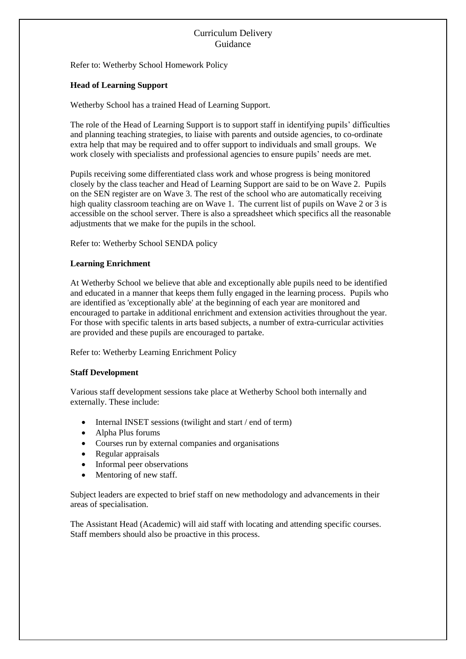Refer to: Wetherby School Homework Policy

#### **Head of Learning Support**

Wetherby School has a trained Head of Learning Support.

The role of the Head of Learning Support is to support staff in identifying pupils' difficulties and planning teaching strategies, to liaise with parents and outside agencies, to co-ordinate extra help that may be required and to offer support to individuals and small groups. We work closely with specialists and professional agencies to ensure pupils' needs are met.

Pupils receiving some differentiated class work and whose progress is being monitored closely by the class teacher and Head of Learning Support are said to be on Wave 2. Pupils on the SEN register are on Wave 3. The rest of the school who are automatically receiving high quality classroom teaching are on Wave 1. The current list of pupils on Wave 2 or 3 is accessible on the school server. There is also a spreadsheet which specifics all the reasonable adjustments that we make for the pupils in the school.

Refer to: Wetherby School SENDA policy

#### **Learning Enrichment**

At Wetherby School we believe that able and exceptionally able pupils need to be identified and educated in a manner that keeps them fully engaged in the learning process. Pupils who are identified as 'exceptionally able' at the beginning of each year are monitored and encouraged to partake in additional enrichment and extension activities throughout the year. For those with specific talents in arts based subjects, a number of extra-curricular activities are provided and these pupils are encouraged to partake.

Refer to: Wetherby Learning Enrichment Policy

#### **Staff Development**

Various staff development sessions take place at Wetherby School both internally and externally. These include:

- Internal INSET sessions (twilight and start / end of term)
- Alpha Plus forums
- Courses run by external companies and organisations
- Regular appraisals
- Informal peer observations
- Mentoring of new staff.

Subject leaders are expected to brief staff on new methodology and advancements in their areas of specialisation.

The Assistant Head (Academic) will aid staff with locating and attending specific courses. Staff members should also be proactive in this process.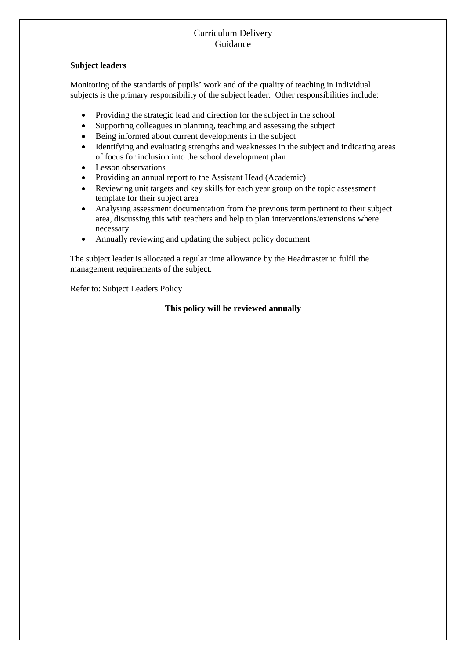#### **Subject leaders**

Monitoring of the standards of pupils' work and of the quality of teaching in individual subjects is the primary responsibility of the subject leader. Other responsibilities include:

- Providing the strategic lead and direction for the subject in the school
- Supporting colleagues in planning, teaching and assessing the subject
- Being informed about current developments in the subject
- Identifying and evaluating strengths and weaknesses in the subject and indicating areas of focus for inclusion into the school development plan
- Lesson observations
- Providing an annual report to the Assistant Head (Academic)
- Reviewing unit targets and key skills for each year group on the topic assessment template for their subject area
- Analysing assessment documentation from the previous term pertinent to their subject area, discussing this with teachers and help to plan interventions/extensions where necessary
- Annually reviewing and updating the subject policy document

The subject leader is allocated a regular time allowance by the Headmaster to fulfil the management requirements of the subject.

Refer to: Subject Leaders Policy

# **This policy will be reviewed annually**